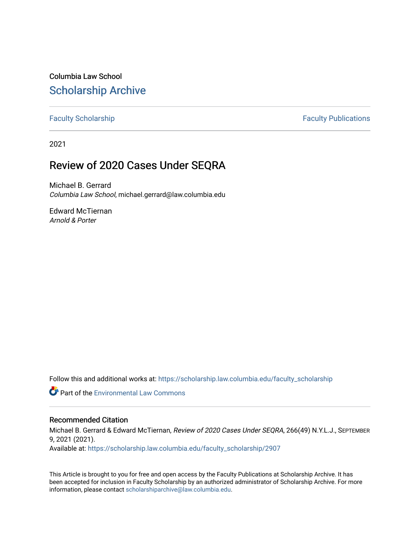Columbia Law School [Scholarship Archive](https://scholarship.law.columbia.edu/) 

[Faculty Scholarship](https://scholarship.law.columbia.edu/faculty_scholarship) **Faculty Scholarship Faculty Publications** 

2021

### Review of 2020 Cases Under SEQRA

Michael B. Gerrard Columbia Law School, michael.gerrard@law.columbia.edu

Edward McTiernan Arnold & Porter

Follow this and additional works at: [https://scholarship.law.columbia.edu/faculty\\_scholarship](https://scholarship.law.columbia.edu/faculty_scholarship?utm_source=scholarship.law.columbia.edu%2Ffaculty_scholarship%2F2907&utm_medium=PDF&utm_campaign=PDFCoverPages)

**C** Part of the [Environmental Law Commons](http://network.bepress.com/hgg/discipline/599?utm_source=scholarship.law.columbia.edu%2Ffaculty_scholarship%2F2907&utm_medium=PDF&utm_campaign=PDFCoverPages)

#### Recommended Citation

Michael B. Gerrard & Edward McTiernan, Review of 2020 Cases Under SEQRA, 266(49) N.Y.L.J., SEPTEMBER 9, 2021 (2021).

Available at: [https://scholarship.law.columbia.edu/faculty\\_scholarship/2907](https://scholarship.law.columbia.edu/faculty_scholarship/2907?utm_source=scholarship.law.columbia.edu%2Ffaculty_scholarship%2F2907&utm_medium=PDF&utm_campaign=PDFCoverPages)

This Article is brought to you for free and open access by the Faculty Publications at Scholarship Archive. It has been accepted for inclusion in Faculty Scholarship by an authorized administrator of Scholarship Archive. For more information, please contact [scholarshiparchive@law.columbia.edu.](mailto:scholarshiparchive@law.columbia.edu)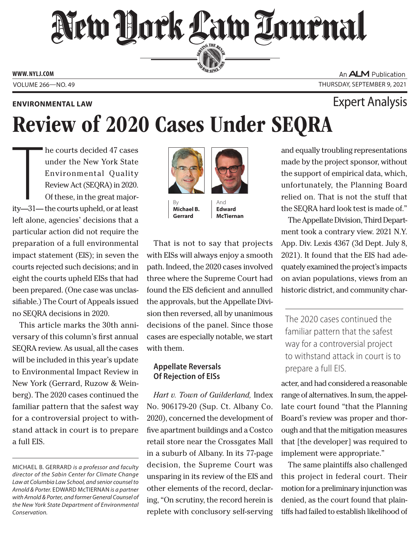## New Hork Law Lournal SERVING THE BEN

**ED BAR SINCE 188** 

**www. NYLJ.com**

### **Environmental Law**

An **ALM** Publication Volume 266—NO. 49 Thursday, September 9, 2021

# Review of 2020 Cases Under SEQRA

The courts decided 47 cases<br>
under the New York State<br>
Environmental Quality<br>
Review Act (SEQRA) in 2020.<br>
Of these, in the great major-<br>
ity—31— the courts upheld, or at least he courts decided 47 cases under the New York State Environmental Quality Review Act (SEQRA) in 2020. Of these, in the great majorleft alone, agencies' decisions that a particular action did not require the preparation of a full environmental impact statement (EIS); in seven the courts rejected such decisions; and in eight the courts upheld EISs that had been prepared. (One case was unclassifiable.) The Court of Appeals issued no SEQRA decisions in 2020.

This article marks the 30th anniversary of this column's first annual SEQRA review. As usual, all the cases will be included in this year's update to Environmental Impact Review in New York (Gerrard, Ruzow & Weinberg). The 2020 cases continued the familiar pattern that the safest way for a controversial project to withstand attack in court is to prepare a full EIS.



**Michael B. Gerrard**

And **Edward McTiernan**

That is not to say that projects with EISs will always enjoy a smooth path. Indeed, the 2020 cases involved three where the Supreme Court had found the EIS deficient and annulled the approvals, but the Appellate Division then reversed, all by unanimous decisions of the panel. Since those cases are especially notable, we start with them.

### **Appellate Reversals Of Rejection of EISs**

*Hart v. Town of Guilderland,* Index No. 906179-20 (Sup. Ct. Albany Co. 2020), concerned the development of five apartment buildings and a Costco retail store near the Crossgates Mall in a suburb of Albany. In its 77-page decision, the Supreme Court was unsparing in its review of the EIS and other elements of the record, declaring, "On scrutiny, the record herein is replete with conclusory self-serving

and equally troubling representations made by the project sponsor, without the support of empirical data, which, unfortunately, the Planning Board relied on. That is not the stuff that the SEQRA hard look test is made of."

The Appellate Division, Third Department took a contrary view. 2021 N.Y. App. Div. Lexis 4367 (3d Dept. July 8, 2021). It found that the EIS had adequately examined the project's impacts on avian populations, views from an historic district, and community char-

The 2020 cases continued the familiar pattern that the safest way for a controversial project to withstand attack in court is to prepare a full EIS.

acter, and had considered a reasonable range of alternatives. In sum, the appellate court found "that the Planning Board's review was proper and thorough and that the mitigation measures that [the developer] was required to implement were appropriate."

The same plaintiffs also challenged this project in federal court. Their motion for a preliminary injunction was denied, as the court found that plaintiffs had failed to establish likelihood of

### Expert Analysis

Michael B. Gerrard *is a professor and faculty director of the Sabin Center for Climate Change Law at Columbia Law School, and senior counsel to Arnold & Porter.* Edward McTiernan *is a partner with Arnold & Porter, and former General Counsel of the New York State Department of Environmental Conservation.*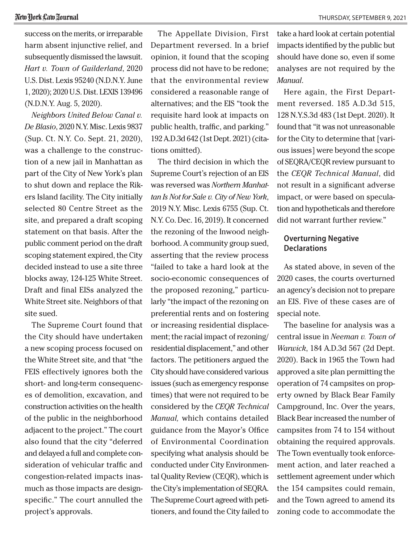success on the merits, or irreparable harm absent injunctive relief, and subsequently dismissed the lawsuit. *Hart v. Town of Guilderland*, 2020 U.S. Dist. Lexis 95240 (N.D.N.Y. June 1, 2020); 2020 U.S. Dist. LEXIS 139496 (N.D.N.Y. Aug. 5, 2020).

*Neighbors United Below Canal v. De Blasio*, 2020 N.Y. Misc. Lexis 9837 (Sup. Ct. N.Y. Co. Sept. 21, 2020), was a challenge to the construction of a new jail in Manhattan as part of the City of New York's plan to shut down and replace the Rikers Island facility. The City initially selected 80 Centre Street as the site, and prepared a draft scoping statement on that basis. After the public comment period on the draft scoping statement expired, the City decided instead to use a site three blocks away, 124-125 White Street. Draft and final EISs analyzed the White Street site. Neighbors of that site sued.

The Supreme Court found that the City should have undertaken a new scoping process focused on the White Street site, and that "the FEIS effectively ignores both the short- and long-term consequences of demolition, excavation, and construction activities on the health of the public in the neighborhood adjacent to the project." The court also found that the city "deferred and delayed a full and complete consideration of vehicular traffic and congestion-related impacts inasmuch as those impacts are designspecific." The court annulled the project's approvals.

The Appellate Division, First Department reversed. In a brief opinion, it found that the scoping process did not have to be redone; that the environmental review considered a reasonable range of alternatives; and the EIS "took the requisite hard look at impacts on public health, traffic, and parking." 192 A.D.3d 642 (1st Dept. 2021) (citations omitted).

The third decision in which the Supreme Court's rejection of an EIS was reversed was *Northern Manhattan Is Not for Sale v. City of New York*, 2019 N.Y. Misc. Lexis 6755 (Sup. Ct. N.Y. Co. Dec. 16, 2019). It concerned the rezoning of the Inwood neighborhood. A community group sued, asserting that the review process "failed to take a hard look at the socio-economic consequences of the proposed rezoning," particularly "the impact of the rezoning on preferential rents and on fostering or increasing residential displacement; the racial impact of rezoning/ residential displacement," and other factors. The petitioners argued the City should have considered various issues (such as emergency response times) that were not required to be considered by the *CEQR Technical Manual,* which contains detailed guidance from the Mayor's Office of Environmental Coordination specifying what analysis should be conducted under City Environmental Quality Review (CEQR), which is the City's implementation of SEQRA. The Supreme Court agreed with petitioners, and found the City failed to

take a hard look at certain potential impacts identified by the public but should have done so, even if some analyses are not required by the *Manual*.

Here again, the First Department reversed. 185 A.D.3d 515, 128 N.Y.S.3d 483 (1st Dept. 2020). It found that "it was not unreasonable for the City to determine that [various issues] were beyond the scope of SEQRA/CEQR review pursuant to the *CEQR Technical Manual*, did not result in a significant adverse impact, or were based on speculation and hypotheticals and therefore did not warrant further review."

### **Overturning Negative Declarations**

As stated above, in seven of the 2020 cases, the courts overturned an agency's decision not to prepare an EIS. Five of these cases are of special note.

The baseline for analysis was a central issue in *Neeman v. Town of Warwick*, 184 A.D.3d 567 (2d Dept. 2020). Back in 1965 the Town had approved a site plan permitting the operation of 74 campsites on property owned by Black Bear Family Campground, Inc. Over the years, Black Bear increased the number of campsites from 74 to 154 without obtaining the required approvals. The Town eventually took enforcement action, and later reached a settlement agreement under which the 154 campsites could remain, and the Town agreed to amend its zoning code to accommodate the